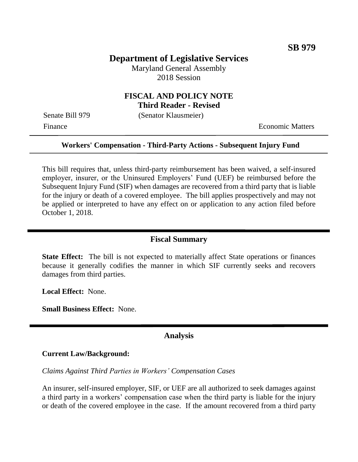## **Department of Legislative Services**

Maryland General Assembly 2018 Session

#### **FISCAL AND POLICY NOTE Third Reader - Revised**

Senate Bill 979 (Senator Klausmeier)

Finance **Exercífical Economic Matters** 

#### **Workers' Compensation - Third-Party Actions - Subsequent Injury Fund**

This bill requires that, unless third-party reimbursement has been waived, a self-insured employer, insurer, or the Uninsured Employers' Fund (UEF) be reimbursed before the Subsequent Injury Fund (SIF) when damages are recovered from a third party that is liable for the injury or death of a covered employee. The bill applies prospectively and may not be applied or interpreted to have any effect on or application to any action filed before October 1, 2018.

### **Fiscal Summary**

**State Effect:** The bill is not expected to materially affect State operations or finances because it generally codifies the manner in which SIF currently seeks and recovers damages from third parties.

**Local Effect:** None.

**Small Business Effect:** None.

### **Analysis**

#### **Current Law/Background:**

*Claims Against Third Parties in Workers' Compensation Cases*

An insurer, self-insured employer, SIF, or UEF are all authorized to seek damages against a third party in a workers' compensation case when the third party is liable for the injury or death of the covered employee in the case. If the amount recovered from a third party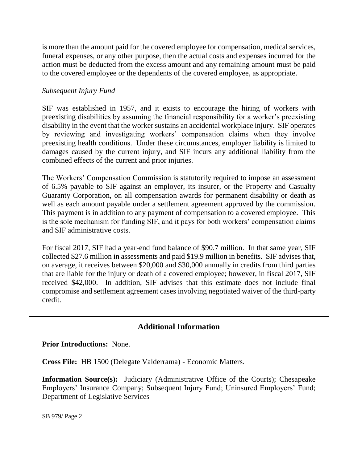is more than the amount paid for the covered employee for compensation, medical services, funeral expenses, or any other purpose, then the actual costs and expenses incurred for the action must be deducted from the excess amount and any remaining amount must be paid to the covered employee or the dependents of the covered employee, as appropriate.

### *Subsequent Injury Fund*

SIF was established in 1957, and it exists to encourage the hiring of workers with preexisting disabilities by assuming the financial responsibility for a worker's preexisting disability in the event that the worker sustains an accidental workplace injury. SIF operates by reviewing and investigating workers' compensation claims when they involve preexisting health conditions. Under these circumstances, employer liability is limited to damages caused by the current injury, and SIF incurs any additional liability from the combined effects of the current and prior injuries.

The Workers' Compensation Commission is statutorily required to impose an assessment of 6.5% payable to SIF against an employer, its insurer, or the Property and Casualty Guaranty Corporation, on all compensation awards for permanent disability or death as well as each amount payable under a settlement agreement approved by the commission. This payment is in addition to any payment of compensation to a covered employee. This is the sole mechanism for funding SIF, and it pays for both workers' compensation claims and SIF administrative costs.

For fiscal 2017, SIF had a year-end fund balance of \$90.7 million. In that same year, SIF collected \$27.6 million in assessments and paid \$19.9 million in benefits. SIF advises that, on average, it receives between \$20,000 and \$30,000 annually in credits from third parties that are liable for the injury or death of a covered employee; however, in fiscal 2017, SIF received \$42,000. In addition, SIF advises that this estimate does not include final compromise and settlement agreement cases involving negotiated waiver of the third-party credit.

# **Additional Information**

**Prior Introductions:** None.

**Cross File:** HB 1500 (Delegate Valderrama) - Economic Matters.

**Information Source(s):** Judiciary (Administrative Office of the Courts); Chesapeake Employers' Insurance Company; Subsequent Injury Fund; Uninsured Employers' Fund; Department of Legislative Services